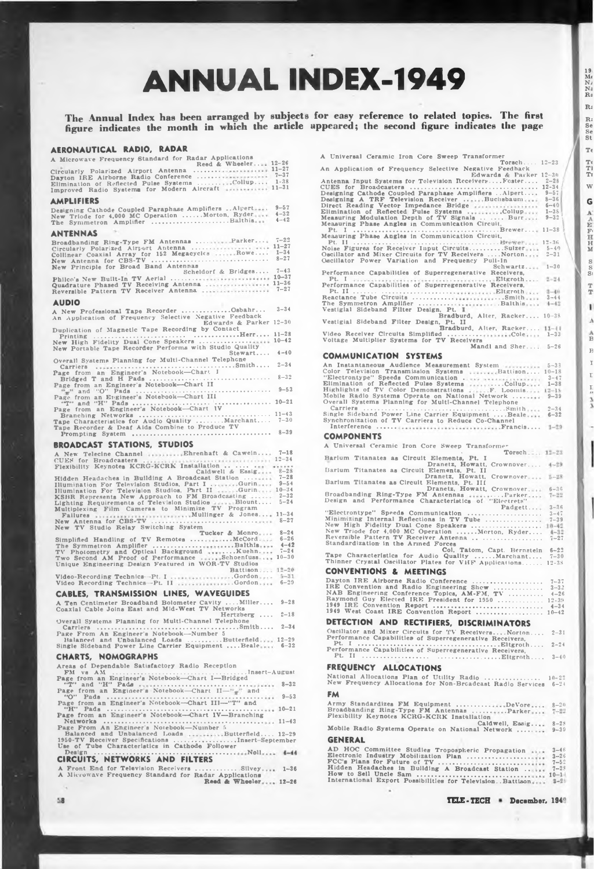# **ANNUAL INDEX-1949**

The Annual Index has been arranged by subjects for easy reference to related topics. The first<br>figure indicates the month in which the article appeared; the second figure indicates the page

| AERONAUTICAL RADIO, RADAR                                                                                                            |                      |
|--------------------------------------------------------------------------------------------------------------------------------------|----------------------|
| A Microwave Frequency Standard for Radar Applications<br>Reed & Wheeler 12-26                                                        |                      |
|                                                                                                                                      |                      |
|                                                                                                                                      |                      |
|                                                                                                                                      |                      |
| <b>AMPLIFIERS</b>                                                                                                                    |                      |
| Designing Cathode Coupled Paraphase Amplifiers  Alpert                                                                               | $9 - 57$<br>$4 - 32$ |
| New Triode for 4,000 MC Operation  Morton, Ryder<br>The Symmetron Amplifier Balthis                                                  | $4 - 42$             |
| ANTENNAS                                                                                                                             |                      |
| Broadbanding Ring-Type FM Antennas  Parker                                                                                           | $7 - 22$             |
| Circularly Polarized Airport Antenna  11-27                                                                                          |                      |
| Collinear Coaxial Array for 152 Megacycles  Rowe 1-34                                                                                | $8 - 27$             |
| New Principle for Broad Band Antennas<br>Scheldorf & Bridges 7-43                                                                    |                      |
|                                                                                                                                      |                      |
|                                                                                                                                      |                      |
|                                                                                                                                      |                      |
| <b>AUDIO</b><br>A New Professional Tape Recorder Osbahr 3-34                                                                         |                      |
| An Application of Frequency Selective Negative Feedback                                                                              |                      |
| Edwards & Parker 12-30<br>Duplication of Magnetic Tape Recording by Contact                                                          |                      |
|                                                                                                                                      |                      |
| New Portable Tape Recorder Performs with Studio Quality                                                                              |                      |
| $Stewart 4-40$<br>Overall Systems Planning for Multi-Channel Telephone                                                               |                      |
|                                                                                                                                      |                      |
|                                                                                                                                      |                      |
|                                                                                                                                      |                      |
|                                                                                                                                      |                      |
|                                                                                                                                      |                      |
|                                                                                                                                      |                      |
|                                                                                                                                      |                      |
|                                                                                                                                      |                      |
| <b>BROADCAST STATIONS, STUDIOS</b>                                                                                                   |                      |
| A New Telecine Channel  Ehrenhaft & Cawein 7-18                                                                                      |                      |
| The State of Broadcasters<br>Flexibility Keynotes KCRG-KCRK Installation<br>Hidden Headaches in Building A Broadcast Station<br>7-28 |                      |
|                                                                                                                                      |                      |
|                                                                                                                                      |                      |
|                                                                                                                                      |                      |
|                                                                                                                                      |                      |
| Failures<br>New Antenna for CBS-TV<br>$8-27$<br>$8-27$                                                                               |                      |
| New TV Studio Relay Switching System                                                                                                 |                      |
|                                                                                                                                      |                      |
|                                                                                                                                      |                      |
|                                                                                                                                      |                      |
| Unique Engineering Design Featured in WOR-TV Studios<br>Battison 12-20                                                               |                      |
|                                                                                                                                      |                      |
|                                                                                                                                      | $6 - 29$             |
| <b>CABLES, TRANSMISSION LINES, WAVEGUIDES</b>                                                                                        |                      |
| A Ten Centimeter Broadband Bolometer Cavity Miller 9-28<br>Coaxial Cable Joins East and Mid-West TV Networks                         |                      |
| Hertzberg                                                                                                                            | $2 - 18$             |
| Overall Systems Planning for Multi-Channel Telephone                                                                                 | $2 - 34$             |
| Page From An Engineer's Notebook-Number 5<br>Balanced and Unbalanced Loads Butterfield. 12-29                                        |                      |
| Single Sideband Power Line Carrier Equipment  Beale 6-32                                                                             |                      |
| <b>CHARTS, NOMOGRAPHS</b>                                                                                                            |                      |
| Areas of Dependable Satisfactory Radio Reception                                                                                     |                      |
|                                                                                                                                      |                      |
|                                                                                                                                      |                      |
| Page from an Engineer's Notebook---Chart $II \pi$ " and<br>$$ 9-53                                                                   |                      |
| Page from an Engineer's Notebook-Chart III-"T" and                                                                                   |                      |
| Page from an Engineer's Notebook-Chart IV-Branching                                                                                  |                      |
| Page From An Engineer's Notebook-Number 5<br>Balanced and Unbalanced Loads Butterfield 12-29                                         |                      |
| 1950-TV Receiver Specifications Insert-September                                                                                     |                      |
| Use of Tube Characteristics in Cathode Follower                                                                                      |                      |
| Noll 4-44<br>Design<br><b>CIRCUITS, NETWORKS AND FILTERS</b>                                                                         |                      |

| A Microwave Frequency Standard for Radar Applications |  | A Front End for Television Receivers  Silvey 1-36 |  |
|-------------------------------------------------------|--|---------------------------------------------------|--|
| Reed & Wheeler 12-26                                  |  |                                                   |  |

 $48$ 

| A Universal Ceramic Iron Core Sweep Transformer                                                                                                     |
|-----------------------------------------------------------------------------------------------------------------------------------------------------|
| <b>Torsch</b> $12-23$<br>An Application of Frequency Selective Negative Feedback                                                                    |
| Edwards & Parker 12-30                                                                                                                              |
|                                                                                                                                                     |
|                                                                                                                                                     |
| Direct Reading Vector Impedance Bridge<br>Elimination of Reflected Pulse Systems Collup  1-38<br>Measuring Modulation Depth of TV Signals Burr 9-32 |
| Measuring Phase Angles in Communication Circuit.                                                                                                    |
|                                                                                                                                                     |
| Oscillator and Mixer Circuits for TV Receivers  Norton.<br>$2 - 31$                                                                                 |
| Oscillator Power Variation and Frequency Pull-In                                                                                                    |
| $Schwartz$ 1-30<br>Performance Capabilities of Superregenerative Receivers,                                                                         |
| Pt. I Recognization representation and Eligroth<br>$2 - 24$<br>Performance Capabilities of Superregenerative Receivers,                             |
|                                                                                                                                                     |
|                                                                                                                                                     |
| Bradburd, Alter, Racker 10-38<br>Vestigial Sideband Filter Design, Pt. II                                                                           |
| Bradburd, Alter, Racker 11-44<br>Video Receiver Circuits Simplified Cole 1-33<br>Voltage Multiplier Systems for TV Receivers                        |
| Mandl and Sher 5-26                                                                                                                                 |
| COMMUNICATION SYSTEMS                                                                                                                               |
| An Instantaneous Audience Measurement System<br>Color Television Transmission Systems<br>19-18<br>19-18                                             |
|                                                                                                                                                     |
|                                                                                                                                                     |
| Overall Systems Planning for Multi-Channel Telephone                                                                                                |
|                                                                                                                                                     |
| Synchronization of TV Carriers to Reduce Co-Channel                                                                                                 |
| <b>COMPONENTS</b>                                                                                                                                   |
| A Universal Ceramic Iron Core Sweep Transformer<br>Torsch.  12-23                                                                                   |
| Barlum Titanates as Circuit Elements, Pt. I<br>Dranetz, Howatt, Crownover 4-29                                                                      |
| Barium Titanates as Circuit Elements, Pt. II<br>Dranetz, Howatt, Crownover 5-28                                                                     |
| Barlum Titanates as Circuit Elements, Pt. III<br>Dranetz, Howatt, Crownover 6-36                                                                    |
| Broadbanding Ring-Type FM Antennas<br>Design and Performance Characteristics of "Electrets"<br>$7 - 22$                                             |
| Padgett $3-36$                                                                                                                                      |
|                                                                                                                                                     |
|                                                                                                                                                     |
| Standardization in the Arined Forces<br>Col. Tatom, Capt. Bernstein 6-22                                                                            |
| Tape Characteristics for Audio Quality Marchant 7-30<br>Thinner Crystal Oscillator Plates for VHF Applications 12-38                                |
| <b>CONVENTIONS &amp; MEETINGS</b>                                                                                                                   |
|                                                                                                                                                     |
| Raymond Guy Elected IRE President for 1950<br>$12 - 39$                                                                                             |
| 1949 IRE Convention Report<br>$4 - 34$<br>1949 West Coast IRE Convention Report  10-42                                                              |
| DETECTION AND RECTIFIERS, DISCRIMINATORS                                                                                                            |
| Oscillator and Mixer Circuits for TV Receivers Norton 2-31                                                                                          |
| Performance Capabilities of Superregenerative Receivers,                                                                                            |
| Performance Capabilities of Superregenerative Receivers,                                                                                            |
| <b>FREQUENCY ALLOCATIONS</b>                                                                                                                        |
| National Allocations Plan of Utility Radio  10-22<br>New Frequency Allocations for Non-Broadcast Radio Services 6-24                                |
| FM                                                                                                                                                  |
| Army Standardizes FM Equipment DeVore 8-20<br>Broadbanding Ring-Type FM Antennas Parker 7-22                                                        |
| Flexibility Keynotes KCRG-KCRK Installation                                                                                                         |
| S-28<br>Mobile Radio Systems Operate on National Network  9-39                                                                                      |
| <b>GENERAL</b>                                                                                                                                      |
|                                                                                                                                                     |
| Hidden Headaches in Building A Broadcast Station                                                                                                    |
| International Export Possibilities for Television. Battison 3-21                                                                                    |

 $\frac{19}{M}$ <br> $\frac{M}{N}$ <br> $\frac{N}{R}$ <br> $\frac{3}{R}$ 

 $\overline{\mathbf{R}}$ 

R:<br>Se<br>Se<br>St

 $\mathbf{T}$  $\begin{array}{c} \mathbf{T}^{\epsilon}_{1} \\ \mathbf{T}^{\epsilon}_{1} \\ \mathbf{T}^{\epsilon}_{2} \end{array}$  $\hat{w}$ G

 $\frac{5}{2}$ 

 $_{\mathrm{T}}^{\mathrm{T}}$  $\mathbf{I}$  $\Lambda$  $\frac{\Lambda}{B}$  $\overline{B}$  $\bar{I}$  $\Gamma$  $\frac{\Gamma}{m}$  $\frac{3}{3}$ 

I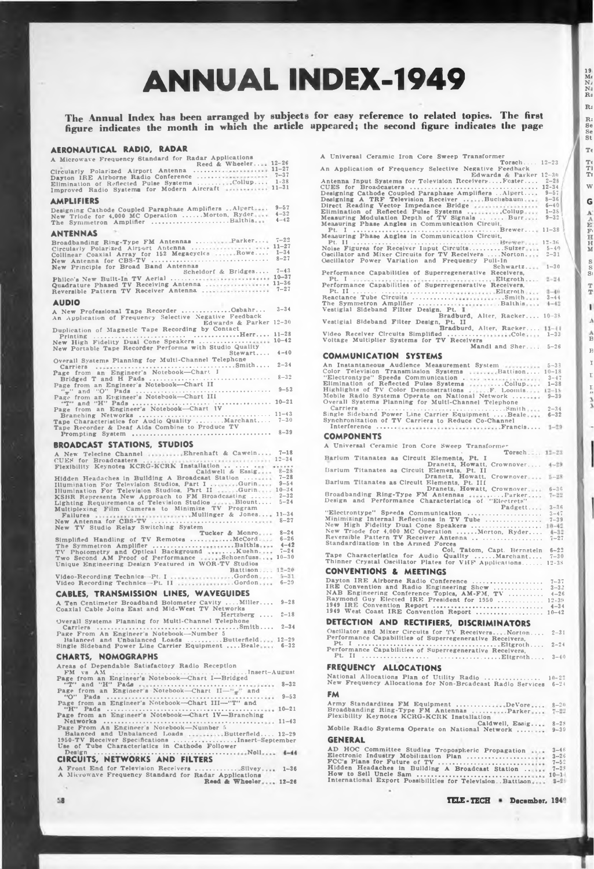# **ANNUAL INDEX-1949**

The Annual Index has been arranged by subjects for easy reference to related topics. The first<br>figure indicates the month in which the article appeared; the second figure indicates the page

| AERONAUTICAL RADIO, RADAR                                                                                                                                                                            |                      |
|------------------------------------------------------------------------------------------------------------------------------------------------------------------------------------------------------|----------------------|
| A Microwave Frequency Standard for Radar Applications<br>Reed & Wheeler 12-26                                                                                                                        |                      |
|                                                                                                                                                                                                      |                      |
|                                                                                                                                                                                                      |                      |
| <b>AMPLIFIERS</b><br>Designing Cathode Coupled Paraphase Amplifiers  Alpert                                                                                                                          | $9 - 57$             |
| New Triode for 4,000 MC Operation  Morton, Ryder<br>The Symmetron Amplifier Balthis                                                                                                                  | $4 - 32$<br>$4 - 42$ |
| <b>ANTENNAS</b>                                                                                                                                                                                      | $7 - 22$             |
| Broadbanding Ring-Type FM Antennas Parker<br>Circularly Polarized Airport Antenna  11-27<br>Collinear Coaxial Array for 152 Megacycles  Rowe 1-34                                                    | $8 - 27$             |
| New Principle for Broad Band Antennas<br>Scheldorf & Bridges 7-43                                                                                                                                    |                      |
|                                                                                                                                                                                                      |                      |
| <b>AUDIO</b>                                                                                                                                                                                         |                      |
| A New Professional Tape Recorder Osbahr 3-34<br>An Application of Frequency Selective Negative Feedback<br>Edwards & Parker 12-30                                                                    |                      |
| Duplication of Magnetic Tape Recording by Contact                                                                                                                                                    |                      |
| New High Fidelity Dual Cone Speakers  10-42<br>New Portable Tape Recorder Performs with Studio Quality<br>$Stewart 4-40$                                                                             |                      |
| Overall Systems Planning for Multi-Channel Telephone                                                                                                                                                 |                      |
|                                                                                                                                                                                                      |                      |
| Page from an Engineer's Notebook-Chart II                                                                                                                                                            |                      |
| rage from an Engineer's Notebook—Chart III<br>Page from an Engineer's Notebook—Chart III<br>Page from an Engineer's Notebook—Chart IV<br>Page from an Engineer's Notebook—Chart IV<br>11-42          |                      |
|                                                                                                                                                                                                      |                      |
| Branching Networks<br>Tape Characteristics for Audio Quality  Marchant 7-30<br>Tape Recorder & Deaf Alds Combine to Produce TV                                                                       |                      |
| <b>BROADCAST STATIONS, STUDIOS</b>                                                                                                                                                                   |                      |
| A New Telecine Channel  Ehrenhaft & Cawein 7-18                                                                                                                                                      |                      |
| Example of Caldwell & Essigned 8-28                                                                                                                                                                  |                      |
|                                                                                                                                                                                                      |                      |
|                                                                                                                                                                                                      |                      |
| New TV Studio Relay Switching System                                                                                                                                                                 |                      |
| Tucker & Monro 8-24<br>Simplified Handling of TV Remotes  McCord 6-26                                                                                                                                |                      |
|                                                                                                                                                                                                      | $4 - 42$             |
| Unique Engineering Design Featured in WOR-TV Studios                                                                                                                                                 |                      |
| Battison 12-20                                                                                                                                                                                       |                      |
|                                                                                                                                                                                                      | $6 - 29$             |
| <b>CABLES, TRANSMISSION LINES, WAVEGUIDES</b><br>A Ten Centimeter Broadband Bolometer Cavity  Miller 9-28                                                                                            |                      |
| Coaxial Cable Joins East and Mid-West TV Networks<br>Hertzberg $2-18$                                                                                                                                |                      |
| Overall Systems Planning for Multi-Channel Telephone                                                                                                                                                 | $2 - 34$             |
| Page From An Engineer's Notebook-Number 5<br>Balanced and Unbalanced Loads Butterfield 12-29                                                                                                         |                      |
| Single Sideband Power Line Carrier Equipment  Beale 6-32<br><b>CHARTS, NOMOGRAPHS</b>                                                                                                                |                      |
| Areas of Dependable Satisfactory Radio Reception                                                                                                                                                     |                      |
|                                                                                                                                                                                                      |                      |
| Page from an Engineer's Notebook-Chart $II-$ <sup>14</sup> $\pi$ <sup>14</sup> and                                                                                                                   |                      |
|                                                                                                                                                                                                      |                      |
| Page from an Engineer's Notebook-Chart IV-Branching                                                                                                                                                  |                      |
| $\cdots \cdots \cdots \cdots \cdots \cdots 11-43$<br>Networks<br>$-0.0.0.1$                                                                                                                          |                      |
| Page From An Engineer's Notebook-Number 5<br>Balanced and Unbalanced Loads  Butterfield 12-29<br>1950-TV Receiver Specifications Insert-September<br>Use of Tube Characteristics in Cathode Follower |                      |
| Design                                                                                                                                                                                               |                      |
| CIRCUITS, NETWORKS AND FILTERS                                                                                                                                                                       |                      |

|  |  | A Front End for Television Receivers  Silvey 1-36                             |  |
|--|--|-------------------------------------------------------------------------------|--|
|  |  | A Microwave Frequency Standard for Radar Applications<br>Reed & Wheeler 12-26 |  |

| A Universal Ceramic Iron Core Sweep Transformer                                                                                                                                                                          |          |
|--------------------------------------------------------------------------------------------------------------------------------------------------------------------------------------------------------------------------|----------|
| Torsch $12-23$<br>An Application of Frequency Selective Negative Feedback                                                                                                                                                |          |
| Edwards & Parker 12-30<br>Antenna Input Systems for Television ReceiversFoster 2-28                                                                                                                                      |          |
|                                                                                                                                                                                                                          |          |
|                                                                                                                                                                                                                          |          |
|                                                                                                                                                                                                                          |          |
| Antenna Jupiter Systems<br>CUES for Broadcasters<br>Designing Cathode Coupled Paraphase Amplifiers Alpert, 3-57<br>Designing A TRF Television Receiver Buchsbaum<br>Direct Reading Vector Impedance Bridge<br>Eliminatio |          |
| Measuring Phase Angles in Communication Circuit,                                                                                                                                                                         |          |
|                                                                                                                                                                                                                          |          |
| Pt. Il<br>Noise Figures for Receiver Input CircuitsSulzer  5-49<br>Oscillator and Mixer Circuits for TV ReceiversNorton 2-31                                                                                             |          |
|                                                                                                                                                                                                                          |          |
| Oscillator Power Variation and Frequency Pull-In<br>Schwartz $1-30$                                                                                                                                                      |          |
| Performance Capabilities of Superregenerative Receivers,                                                                                                                                                                 |          |
| Pt. I Performance Capabilities of Superregenerative Receivers. 2-24                                                                                                                                                      |          |
|                                                                                                                                                                                                                          |          |
|                                                                                                                                                                                                                          |          |
| Bradburd, Alter, Racker 10-38                                                                                                                                                                                            |          |
| Vestigial Sideband Filter Design, Pt. II<br>Bradburd, Alter, Racker 11-44                                                                                                                                                |          |
| Video Receiver Circuits Simplified Cole 1-33<br>Voltage Multiplier Systems for TV Receivers                                                                                                                              |          |
| Mandl and Sher, 5-26                                                                                                                                                                                                     |          |
| <b>COMMUNICATION SYSTEMS</b>                                                                                                                                                                                             |          |
|                                                                                                                                                                                                                          |          |
|                                                                                                                                                                                                                          |          |
|                                                                                                                                                                                                                          |          |
|                                                                                                                                                                                                                          |          |
|                                                                                                                                                                                                                          |          |
| Carriers<br>Single Sideband Power Line Carrier Equipment Beale 6-32<br>Synchronization of TV Carriers to Reduce Co-Channel                                                                                               |          |
|                                                                                                                                                                                                                          |          |
| <b>COMPONENTS</b>                                                                                                                                                                                                        |          |
| A Universal Ceramic Iron Core Sweep Transformer                                                                                                                                                                          |          |
| Torsch 12-23<br>Barlum Titanates as Circuit Elements, Pt. I                                                                                                                                                              |          |
| Dranetz, Howatt, Crownover 4-29                                                                                                                                                                                          |          |
| Barium Titanates as Circuit Elements, Pt. II<br>Dranetz, Howatt, Crownover 5-28                                                                                                                                          |          |
| Barlum Titanates as Circuit Elements, Pt. III<br>Dranetz, Howatt, Crownover 6-36                                                                                                                                         |          |
| Broadbanding Ring-Type FM Antennas Parker 7-22<br>Design and Performance Characteristics of "Electrets"                                                                                                                  |          |
|                                                                                                                                                                                                                          |          |
|                                                                                                                                                                                                                          |          |
|                                                                                                                                                                                                                          |          |
|                                                                                                                                                                                                                          |          |
|                                                                                                                                                                                                                          |          |
|                                                                                                                                                                                                                          |          |
|                                                                                                                                                                                                                          |          |
| <b>CONVENTIONS &amp; MEETINGS</b>                                                                                                                                                                                        |          |
|                                                                                                                                                                                                                          |          |
| $\cdots \cdots \cdots \cdots \cdots$ 4-20                                                                                                                                                                                |          |
| Raymond Guy Elected IRE President for 1950  12-39<br>1949 IRE Convention Report                                                                                                                                          | $4 - 34$ |
| 1949 West Coast IRE Convention Report  10-42                                                                                                                                                                             |          |
| DETECTION AND RECTIFIERS, DISCRIMINATORS                                                                                                                                                                                 |          |
| Oscillator and Mixer Circuits for TV Receivers Norton 2-3<br>Performance Capabilities of Superregenerative Receivers.                                                                                                    |          |
|                                                                                                                                                                                                                          |          |
| Performance Capabilities of Superregenerative Receivers,                                                                                                                                                                 |          |
| <b>FREQUENCY ALLOCATIONS</b>                                                                                                                                                                                             |          |
| National Allocations Plan of Utility Radio  10-2                                                                                                                                                                         |          |
| New Frequency Allocations for Non-Broadcast Radlo Services 6-2                                                                                                                                                           |          |
| FM                                                                                                                                                                                                                       |          |
| Army Standardizes FM Equipment DeVore 8-2                                                                                                                                                                                |          |
| Broadbanding Ring-Type FM Antennas Parker 7-2<br>Flexibility Keynotes KCRG-KCRK Installation                                                                                                                             |          |

 $\begin{array}{c} 19\\ \mathrm{Me}\\ \mathrm{N}_{\mathrm{d}}\\ \mathrm{N}_{\mathrm{d}}\\ \mathrm{R}_{\mathrm{d}} \end{array}$ 

 $\overline{\mathbf{R}}$ 

R:<br>Se<br>Se<br>St

 $\mathbf{T}$ 

 $\begin{array}{c} \mathbf{T} \in \mathbf{T} \mathbf{I} \\ \mathbf{T} \mathbf{I} \\ \mathbf{T} \mathbf{I} \end{array}$ 

 $\hat{w}$ G

 $\frac{50}{2}$  or  $\frac{1}{2}$ 

 $\frac{\text{T}}{\text{T}}$ 

 $\mathbf{I}$  $\Lambda$ 

 $\frac{\Lambda}{B}$  $\overline{B}$ 

 $\bar{1}$ 

 $\Gamma$  $\frac{1}{n}$  $\frac{3}{3}$ 

Caldwell, Essig.... 8-28<br>Mobile Radio Systems Operate on National Network ........ 9-39 **GENERAL** 

| $\mu$ for committee studies Tropospheric Propagation $\ldots$ 3-40 |          |
|--------------------------------------------------------------------|----------|
|                                                                    |          |
| "CC's Plans for Future of TV                                       | $7 - 52$ |
| Idden Headaches in Building A Broadcast Station  7-28              |          |
|                                                                    |          |
| nternational Export Possibilities for TelevisionBattison 3-29      |          |
|                                                                    |          |

TELE-TECH = December, 1948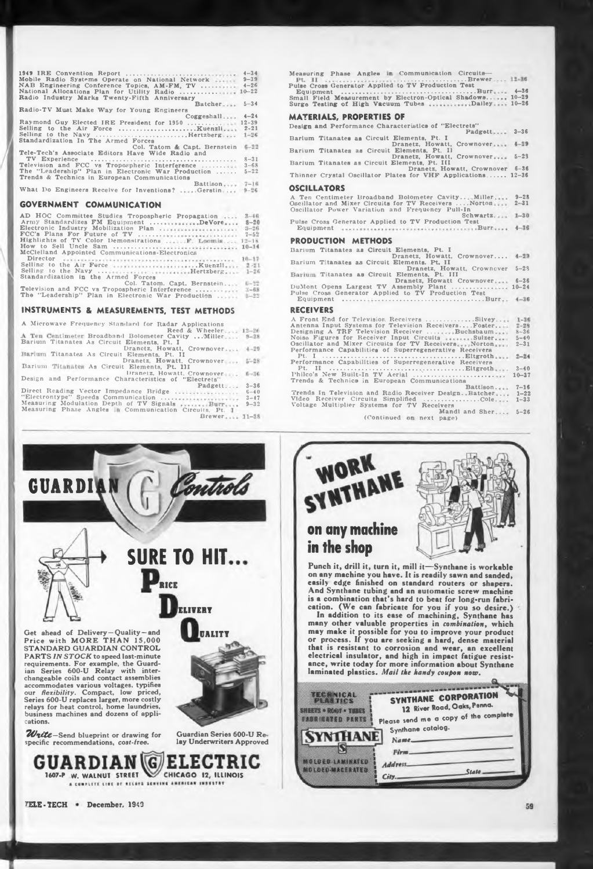| 1949 IRE Convention Report                         | $4 - 34$  |
|----------------------------------------------------|-----------|
| Mobile Radio Systems Operate on National Network   | $9 - 39$  |
| NAB Engineering Conference Topics, AM-FM, TV       | $4 - 26$  |
| National Allocations Plan for Utility Radio        | $10 - 22$ |
| Radio Industry Marks Twenty-Fifth Anniversary      |           |
| Batcher                                            | $5 - 34$  |
| Radio-TV Must Make Way for Young Engineers         |           |
| Coggeshall                                         | $4 - 24$  |
| Raymond Guy Elected IRE President for 1950  12-39  |           |
| Selling to the Air Force Kuenzli                   | $2 - 21$  |
| Selling to the Navy Hertzberg                      | $1 - 26$  |
| Standardization In The Armed Forces                |           |
| Col. Tatom & Capt. Bernstein                       | $6 - 22$  |
| Tele-Tech's Associate Editors Have Wide Radio and  |           |
|                                                    | $8 - 31$  |
| Television and FCC vs Tropospheric Interference    | $3 - 68$  |
| The "Leadership" Plan in Electronic War Production | $5 - 22$  |
| Trends & Technics in European Communications       |           |
| Battison $7-16$                                    |           |
| What Do Engineers Receive for Inventions? Gerstin  | $9 - 26$  |
|                                                    |           |

# **GOVERNMENT COMMUNICATION**

| $3 - 46$<br>AD HOC Committee Studies Tropospheric Propagation<br>Army Standardizes FM Equipment DeVore 8-20<br>Electronic Industry Mobilization Plan<br>$3 - 26$   | Pulse Cross Gener<br>$Equipment$ <sub></sub>    |
|--------------------------------------------------------------------------------------------------------------------------------------------------------------------|-------------------------------------------------|
| FCC's Plans For Future of TV<br>$7 - 52$                                                                                                                           |                                                 |
| Highlights of TV Color Demonstrations  F. Loomis 12-18                                                                                                             | <b>PRODUCTION</b>                               |
| McClelland Appointed Communications-Electronics                                                                                                                    | Barium Titanates                                |
|                                                                                                                                                                    | Barium Titanates                                |
| Selling to the Navy Hertzberg 1-26<br>Standardization in the Armed Forces                                                                                          | Barium Titanates                                |
| $6 - 22$<br>Col. Tatom, Capt. Bernstein<br>Television and FCC vs Tropospheric Interference  3-68<br>The "Leadership" Plan in Electronic War Production<br>$5 - 22$ | DuMont Opens L<br>Pulse Cross Gene<br>Equipment |

# **INSTRUMENTS & MEASUREMENTS, TEST METHODS**

| A Microwave Frequency Standard for Radar Applications<br>Reed & Wheeler $12-26$<br>A Ten Centimeter Broadband Bolometer Cavity  Miller 9-28<br>Barium Titanates As Circuit Elements, Pt. I.<br>Dranctz, Howatt, Crownover 4-29 | ZA A LUISLIZAINA AUS ALILVIOIVIL ANLLUITLICI IIIIIIII<br>Antenna Input Systems for Television Receiver<br>Designing A TRF Television Receiver<br>Noise Figures for Receiver Input Circuits<br>Oscillator and Mixer Circuits for TV Receivers<br>Performance Capabilities of Superregenerative |
|--------------------------------------------------------------------------------------------------------------------------------------------------------------------------------------------------------------------------------|-----------------------------------------------------------------------------------------------------------------------------------------------------------------------------------------------------------------------------------------------------------------------------------------------|
| Barlum Titanates As Circuit Elements, Pt. II                                                                                                                                                                                   |                                                                                                                                                                                                                                                                                               |
| Dranetz, Howatt, Crownover 5-28<br>Barium Titanates As Circuit Elements, Pt. 111                                                                                                                                               | Performance Capabilities of Superregenerative                                                                                                                                                                                                                                                 |
| Dranetz, Howatt, Crownover  6-36<br>Design and Performance Characteristics of "Electrets"                                                                                                                                      | Philco's New Built-In TV Aerial<br>Trends & Technics in European Communicati-                                                                                                                                                                                                                 |
| $3 - 36$<br>Padxett                                                                                                                                                                                                            |                                                                                                                                                                                                                                                                                               |
| Direct Reading Vector Impedance Bridge<br>$6 - 40$<br>"Electrontype" Speeds Communication<br>$3 - 47$<br>Measuring Modulation Depth of TV Signals  Burr<br>$9 - 32$                                                            | Trends In Television and Radio Receiver Desig<br>Video Receiver Circuits Simplified<br>Voltage Multiplier Systems for TV Receivers                                                                                                                                                            |
| Measuring Phase Angles In Communication Circuits. Pt. 1                                                                                                                                                                        | Mano                                                                                                                                                                                                                                                                                          |
| Brewer 11-38                                                                                                                                                                                                                   | (Continued on next page                                                                                                                                                                                                                                                                       |



| Oscillator Power variation and Frequency Pull-In<br>$Schwartz 1-30$ |  |
|---------------------------------------------------------------------|--|
| Pulse Cross Generator Applied to TV Production Test                 |  |
| <b>PRODUCTION METHODS</b>                                           |  |
| Barium Titanates as Circuit Elements, Pt. I                         |  |

| Dranetz, Howatt, Crownover 4-29                      |                |
|------------------------------------------------------|----------------|
| Barium Titanates as Circuit Elements, Pt. II         |                |
| Dranetz, Howatt, Crowncver                           | $5 - 2.3$      |
| Barium Titanates as Circuit Elements, Pt. III        |                |
| Dranetz, Howatt Crownover                            | $6 - 36$       |
| DuMont Opens Largest TV Assembly Plant               | $10 - 24$      |
| Pulse Cross Generator Applied to TV Production Test  |                |
|                                                      | $4 - 36$       |
| <b>RECEIVERS</b>                                     |                |
| A Front End for Television Receivers Silvey 1-36     |                |
| Antenna Input Systems for Television ReceiversFoster | $2 - 28$       |
| Designing A TRF Television Receiver Buchsbaum        | $8 - 36$       |
|                                                      | $E = A \Omega$ |

| INSTRUMENTS & MEASUREMENTS, TEST METHODS                  | <b>RECEIVERS</b>                                                                                                                                                                                                                                                                                                                                         |
|-----------------------------------------------------------|----------------------------------------------------------------------------------------------------------------------------------------------------------------------------------------------------------------------------------------------------------------------------------------------------------------------------------------------------------|
| A Microwave Frequency Standard for Radar Applications     | A Front End for Television Receivers Silvey<br>$1 - 36$                                                                                                                                                                                                                                                                                                  |
|                                                           | Antenna Input Systems for Television Receivers Foster<br>$2 - 28$                                                                                                                                                                                                                                                                                        |
| Reed & Wheeler, $12-26$                                   | Designing A TRF Television Receiver Buchsbaum<br>$8 - 36$                                                                                                                                                                                                                                                                                                |
| A Ten Centimeter Broadband Bolometer Cavity  Miller 9-28  | Noise Figures for Receiver Input Circuits Sulzer<br>$5 - 40$                                                                                                                                                                                                                                                                                             |
| Barium Titanates As Circuit Elements, Pt. I               | Oscillator and Mixer Circuits for TV Receivers Norton<br>$2 - 31$                                                                                                                                                                                                                                                                                        |
| Dranctz, Howatt, Crownover 4-29                           | Performance Capabilitie, of Superregenerative Receivers                                                                                                                                                                                                                                                                                                  |
| Barlum Titanates As Circuit Elements, Pt. II              | $2 - 24$                                                                                                                                                                                                                                                                                                                                                 |
| Dranetz, Howatt, Crownover 5-28                           | Performance Capabilities of Superregenerative Receivers                                                                                                                                                                                                                                                                                                  |
| Barium Titanates As Circuit Elements, Pt. 111             | $3 - 40$                                                                                                                                                                                                                                                                                                                                                 |
| Dranetz, Howatt, Crownover  6-36                          |                                                                                                                                                                                                                                                                                                                                                          |
| Design and Performance Characteristics of "Electrets"     | Philco's New Built-In TV Aerial<br>$10 - 37$                                                                                                                                                                                                                                                                                                             |
|                                                           | Trends & Technics in European Communications                                                                                                                                                                                                                                                                                                             |
| $3 - 36$<br>Padxett                                       | $7 - 16$<br>Battison                                                                                                                                                                                                                                                                                                                                     |
| Direct Reading Vector Impedance Bridge<br>$6 - 40$        | Trends In Television and Radio Receiver Design., Batcher 1-22                                                                                                                                                                                                                                                                                            |
| "Electrontype" Speeds Communication<br>$3 - 47$           | Video Receiver Circuits Simplified Cole 1-33                                                                                                                                                                                                                                                                                                             |
| Measuring Modulation Depth of TV Signals Burr<br>$9 - 32$ | Voltage Multiplier Systems for TV Receivers                                                                                                                                                                                                                                                                                                              |
| Measuring Phase Angles In Communication Circuits, Pt. 1   | Mandl and Sher 5-26                                                                                                                                                                                                                                                                                                                                      |
| $R$ rewer $11-38$                                         | $\{C_{n} = 1, \ldots, 3, \ldots, 4, \ldots, 4, \ldots, 1, \ldots, 1, \ldots, 1, \ldots, 1, \ldots, 1, \ldots, 1, \ldots, 1, \ldots, 1, \ldots, 1, \ldots, 1, \ldots, 1, \ldots, 1, \ldots, 1, \ldots, 1, \ldots, 1, \ldots, 1, \ldots, 1, \ldots, 1, \ldots, 1, \ldots, 1, \ldots, 1, \ldots, 1, \ldots, 1, \ldots, 1, \ldots, 1, \ldots, 1, \ldots, 1,$ |

(Continued on next page)

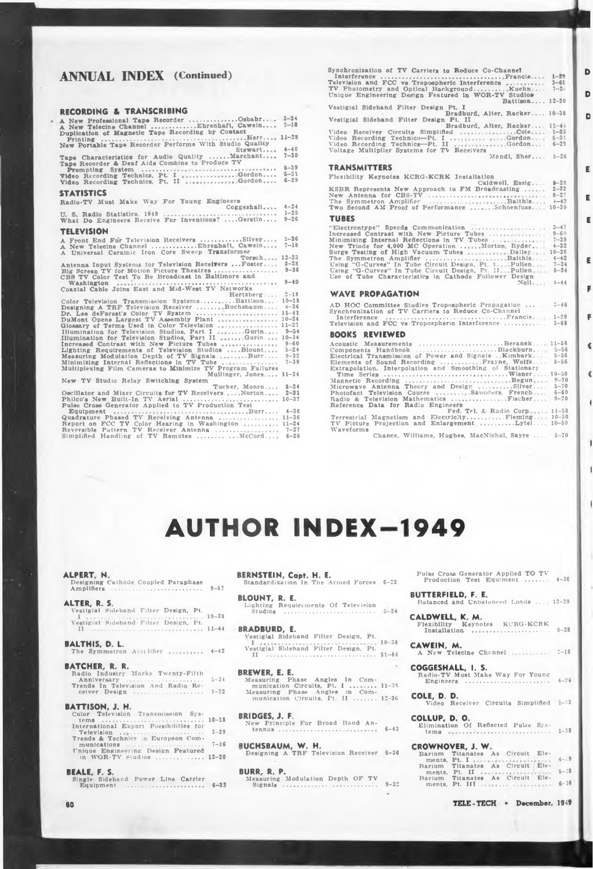# **RECORDING & TRANSCRIBING**

| -----------                                                                              |          |                                                  |
|------------------------------------------------------------------------------------------|----------|--------------------------------------------------|
| A New Professional Tape Recorder Osbahr 3-34<br>A New Telecine Channel Ehrenhaft, Cawein | $7 - 18$ | Vestigial Sideband Filter                        |
| Duplication of Magnetic Tape Recording by Contact                                        |          | Video Receiver Circuits S                        |
|                                                                                          |          | Video Recording Technica-                        |
| New Portable Tape Recorder Performs With Studio Quality                                  |          | Video Recording Technics-                        |
| Stewart                                                                                  | $4 - 40$ | Voltage Multiplier Systems                       |
| Tape Characteristics for Audio Quality Marchant                                          | $7 - 30$ |                                                  |
| Tape Recorder & Deaf Aids Combine to Produce TV                                          |          |                                                  |
|                                                                                          | $8 - 39$ | <b>TRANSMITTERS</b>                              |
| Video Recording Technics, Pt. I Gordon                                                   | $5 - 31$ | Flexibility Keynotes KCRG                        |
| Video Recording Technics, Pt. II Gordon                                                  | $6 - 29$ |                                                  |
|                                                                                          |          |                                                  |
| <b>STATISTICS</b>                                                                        |          | KSBR Represents New Ap<br>New Antenna for CBS-TV |
| Radio-TV Must Make Way For Young Engineers                                               |          | The Symmetron Amplifier                          |
| Coggeshall                                                                               | $4 - 24$ | Two Second AM Proof of                           |
|                                                                                          |          |                                                  |
|                                                                                          |          | <b>TUBES</b>                                     |
| What Do Engineers Receive For Inventions?  Geratin 9-26                                  |          |                                                  |
| <b>TELEVISION</b>                                                                        |          | "Electrontype" Speeds Cor                        |
|                                                                                          |          | Increased Contrast with N                        |
| A Front End For Television Receivers Silvey 1-36                                         |          | Minimizing Internal Reflec                       |
| A New Telecine Channel  Ehrenhaft, Cawein 7-18                                           |          | New Triode for 4,000 MC                          |
| A Universal Ceramic Iron Core Sweep Transformer                                          |          | Surge Testing of High Vac                        |
| $Torsch 12-23$                                                                           |          | The Symmetron Amplifier                          |
| Antenna Input Systems for Television Receivers  Foster 2-28                              |          | Using "G-Curves" In Tube                         |
| Big Screen TV for Motion Picture Theatres  9-36                                          |          | Using "G-Curves" In Tube                         |
| CBS TV Color Test To Be Broadcast in Baltimore and                                       |          | Use of Tube Characteristic                       |
|                                                                                          |          |                                                  |
| Coaxial Cable Joins East and Mid-West TV Networks                                        |          |                                                  |
| Herizberg                                                                                | $2 - 18$ | WAVE PROPAGATION                                 |
| Color Television Transmission SystemsBattison 10-18                                      |          | AD HOC Committee Studie                          |
| Designing A TRF Television Receiver  Buchsbaum 8-36                                      |          |                                                  |
| Dr. Lee deForest's Color TV System  11-41                                                |          | Synchronization of TV Car<br>Interference        |
| DuMont Opens Largest TV Assembly Plant  10-24                                            |          |                                                  |
| Glossary of Terms Used in Color Television  11-27                                        |          | Television and FCC vs Tro                        |
| Illumination for Television Studios, Part I Gurin 9-54                                   |          | <b>BOOKS REVIEWED</b>                            |
| Illumination for Television Studios, Part II Gurin 10-34                                 |          |                                                  |
| Increased Contrast with New Picture Tubes  9-60                                          |          | Acoustic Measurements.                           |
| Lighting Requirements of Television Studios  Blount 5-24                                 |          | Components Handbook                              |
| Measuring Modulation Depth of TV Signals  Burr 9-32                                      |          | Electrical Transmission of                       |
| Minimizing Internal Reflections in TV Tube <i>massessiminist</i> 7-39                    |          | Elements of Sound Record                         |
| Multiplexing Film Cameras to Minimize TV Program Failures                                |          | Extrapolation. Interpolatio                      |
| Mullinger, Jones, 11-34                                                                  |          | Time Serles                                      |
| New TV Studio Relay Switching System                                                     |          | Magnetic Recording                               |
| Tucker, Monro 8-24                                                                       |          | Microwave Antenna Theor                          |
| Oscillator and Mixer Circuits for TV Receivers  Norton 2-31                              |          | Photofact Television Cour                        |
| Philco's New Built-In TV Aerial  10-37                                                   |          | Radio & Television Mathe                         |
| Pulse Cross Generator Applied to TV Production Test                                      |          | Reference Data for Radio                         |
| Equipment Burr                                                                           | $4 - 36$ |                                                  |
| Quadrature Phased TV Receiving Antenna  11-36                                            |          | Terrestrial Magnetism and                        |
| Report on FCC TV Color Hearing in Washington  11-24                                      |          | TV Picture Projection and                        |
| Reversible Pattern TV Receiver Antenna  7-27                                             |          | <i>Waveforms</i>                                 |
| Simplified Handling of TV Remotes   McCord 6-26                                          |          | Chance, Willia                                   |

| <b>ANNUAL INDEX</b> (Continued)                                                                                                                                                                                                                                                                               | Synchronization of TV Carriers to Reduce Co-Channel<br>Television and FCC vs Tropospheric Interference<br>$3 - 6E$<br>TV Photometry and Optical Background Kuehn 7-20<br>Unique Engineering Design Featured in WOR-TV Studios<br>$Battison 12-20$                     | D<br>D                   |
|---------------------------------------------------------------------------------------------------------------------------------------------------------------------------------------------------------------------------------------------------------------------------------------------------------------|-----------------------------------------------------------------------------------------------------------------------------------------------------------------------------------------------------------------------------------------------------------------------|--------------------------|
| RECORDING & TRANSCRIBING                                                                                                                                                                                                                                                                                      | Vestigial Sideband Filter Design Pt. I<br>Bradburd, Alter, Racker 10-38                                                                                                                                                                                               |                          |
| A New Professional Tape Recorder Osbahr 3-34<br>A New Telecine Channel Ehrenhaft, Cawein 7-18<br>Duplication of Magnetic Tape Recording by Contact<br>New Portable Tape Recorder Performs With Studio Quality<br>$4 - 40$<br>Stewart                                                                          | Vestigial Sideband Filter Deaign Pt. II<br>Bradburd, Alter, Racker 11-44<br>Video Receiver Circuits Simplified Cole 1-33<br>Video Recording Technics-Pt. I  Gordon 5-31<br>Video Recording Technics-Pt. II Gordon 6-29<br>Voltage Multiplier Systems for TV Receivers | D                        |
| Tape Characteristics for Audio Quality Marchant 7-30<br>Tape Recorder & Deaf Aids Combine to Produce TV                                                                                                                                                                                                       | Mandl, Sher $5-26$                                                                                                                                                                                                                                                    |                          |
| $8 - 39$<br>Video Recording Technics, Pt. I Gordon 5-31                                                                                                                                                                                                                                                       | <b>TRANSMITTERS</b><br>Flexibility Keynotes KCRG-KCRK Installation                                                                                                                                                                                                    | E.                       |
| Video Recording Technics, Pt. II Gordon<br>$6 - 29$                                                                                                                                                                                                                                                           | Caldwell, Essig 8-28                                                                                                                                                                                                                                                  |                          |
| <b>STATISTICS</b>                                                                                                                                                                                                                                                                                             | KSBR Represents New Approach to FM Broadcasting  2-32                                                                                                                                                                                                                 | E.                       |
| Radio-TV Must Make Way For Young Engineers                                                                                                                                                                                                                                                                    | The Symmetron Amplifier Balthis 4-42<br>Two Second AM Proof of Performance Schoenfuss 10-30                                                                                                                                                                           |                          |
| What Do Engineers Receive For Inventions?  Geratin 9-26                                                                                                                                                                                                                                                       | <b>TUBES</b>                                                                                                                                                                                                                                                          | E.                       |
| <b>TELEVISION</b>                                                                                                                                                                                                                                                                                             | "Electrontype" Speeds Communication  3-47<br>Increased Contrast with New Picture Tubes<br>$9 - 60$                                                                                                                                                                    |                          |
| A Front End For Television Receivers Silvey 1-36<br>A New Telecine Channel  Ehrenhaft, Cawein 7-18<br>A Universal Ceramic Iron Core Sweep Transformer<br>$Torsch 12-23$                                                                                                                                       | $7 - 39$<br>New Triode for 4,000 MC Operation  Morton, Ryder. 4-32<br>Surge Testing of High Vacuum Tubes Dailey 10-26                                                                                                                                                 | E.                       |
| Antenna Input Systems for Television Receivers  Foster 2-28<br>Big Screen TV for Motion Picture Theatres  9-36<br>CBS TV Color Test To Be Broadcast in Baltimore and                                                                                                                                          | Using "G-Curves" In Tube Circuit Design, Pt. 1Pullen 1 7-34<br>Using "G-Curves" In Tube Circuit Design, Pt. 11.  Pullen 8-34<br>Use of Tube Characteristics in Cathode Follower Design<br>$Noll 4-44$                                                                 |                          |
| Coaxial Cable Joins East and Mid-West TV Networks<br>Hertzberg 2-18                                                                                                                                                                                                                                           | <b>WAVE PROPAGATION</b>                                                                                                                                                                                                                                               | F                        |
| Color Television Transmission SystemsBattison 10-18<br>Designing A TRF Television Receiver Buchsbaum 8-36<br>Dr. Lee deForest's Color TV System  11-41<br>DuMont Opens Largest TV Assembly Plant  10-24                                                                                                       | AD HOC Committee Studies Tropospheric Propagation<br>$3 - 46$<br>Synchronization of TV Carriers to Reduce Co-Channel                                                                                                                                                  | F.                       |
| Glossary of Terms Used in Color Television  11-27<br>Illumination for Television Studios, Part I Gurin 9-54                                                                                                                                                                                                   | Television and FCC vs Tropospheric Interference  3-68                                                                                                                                                                                                                 |                          |
| Illumination for Television Studios, Part II  Gurin 10-34                                                                                                                                                                                                                                                     | <b>BOOKS REVIEWED</b>                                                                                                                                                                                                                                                 |                          |
| Increased Contrast with New Picture Tubes  9-60<br>Lighting Requirements of Television Studios  Blount 5-24<br>Measuring Modulation Depth of TV Signals Burr 9-32<br>Minimizing Internal Reflections in TV Tube  7-39<br>Multiplexing Film Cameras to Minimize TV Program Failures<br>Mullinger, Jones, 11-34 | Acoustic Measurements Beranek 11-58<br>Components Handbook Blackburn 5-56<br>Electrical Transmission of Power and Signals  Kimbark, 8-56<br>Elements of Sound Recording  Frayne, Wolfe. 8-56<br>Extrapolation, Interpolation and Smoothing of Stationary              | $\epsilon$<br>$\epsilon$ |
| New TV Studio Relay Switching System<br>Tucker, Monro, 8-24                                                                                                                                                                                                                                                   | Microwave Antenna Theory and Design Silver<br>$5 - 70$                                                                                                                                                                                                                |                          |
| Oscillator and Mixer Circuits for TV Receivers  Norton 2-31                                                                                                                                                                                                                                                   | Photofact Television Course Saunders, French 6-60<br>Radio & Television Mathematics Fischer 9-70                                                                                                                                                                      |                          |

ï

Ï

**McCord... Chance, Williams, Hughes, MacNichol, Sayre . . . 5-70 Electricity... Enlargement 11-58 10-50 10-50 Fleming. . . .. .Lytel. .. .....................Fischer Engineers Fed. Td. & Radio Corp. Terrestrial Magnetism and TV Picture Projection and Waveforms**

# **AUTHOR INDEX 1949**

**9-57 Designing Cathode Coupled Paraphase Amplifiers ...................................................**

**10-38 Vestigial Sideband Filter Design, Pt.** n ...................................;.......... **ALTER, R. S. Vestigial Sideband Filter Design, Pt.**

### **BALTHIS, D. L.** he Symmetron Amplifier ............ 4-42

5—34 **1-22 BATCHER, R. R. Radio Industry Marks Twenty-Fifth Anniversary ....................................... Trends In Television And Radio Re-ceiver Design ...................................**

# **BATTISON, J. H.**

- Color Television Transmission Systems<br>
tems<br>
ternational Export Possibilities for<br>
Television<br>
Television<br>
Tends & Technics in Europeon Com-<br>
munications<br>
thingue Engineering Design Feature<br>
in WOR-TV Studios
- 
- 

**BEALE, F. S. Single- Sideband Power Line Carrier Equipment .............................................**

**BLOUNT, R. E. Lighting Requirements Of Television Studios ...................................................**

## **BRADBURD, E.**

**10-38 Vestigial Sidehand Filter Design, Pt. II .............................................................. Figure 10-38**<br>**CAWEIN, M.**<br> **CAWEIN, M.**<br> **A New Telecine** Channel **11-18 Vestigial Sideband Filter Design, Pt.**

### **BREWER, E. E.**

**11—3 <sup>S</sup> 12-36 Measuring Phase Angles munication Circuits, Pt. Measuring Phase Angles munication Circuits, Pt. In Com-I ............... in Corn-il ............**

**10-18 Band An-BRIDGES, J. F. New Principle For Broad tennas ...... ,................. 1-3 1-38**<br>**1-3 1-38 1-38**<br>**1-38 1-38**<br>**1-38** 

# **7-16 CROWNOVER, J. W.**

**8-36 12-20 4-9 RUCHSBAUM, W. H. Designing A TRF Television Receiver**

**9-32 6-3« 6-32 BURR, R. P. Measuring Modulation Depth OF TV Signals ..................................................**

**ALPERT, N.**<br> **BERNSTEIN, Capt. H. E.** Pulse Cross Generator Applied TO TV **6-36**<br> **Designing Cathode Coupled Paraphase** Standardization In The Armed Forces 6-22 Production Test Equiment ....... 4-36 **Pulse Cross Generator Applied TO TV Production Test Equiment .........**

# **BUTTERFIELD, F. E.**

**12-29 Balanced and Unbalanced Loads . .**

# **11-44 BRADBURD, E. 11-44 BRADBURD, E. 11-44 Installation 11-44 Installation 11-44 Installation 11-44 CALDWELL, K. M. Flexibility Keynotes KCRG-KCRK Installation ...................................**

**COGGESHALL, I. S. Radio-TV Must Make Way For Young Engineers ...............................................**

# **■33 Video Receiver Circuits Simplified COLE, D. D.**

**COLLUP, D. O.**

| Barium Titanates As Circuit Ele-                                             |  |  |
|------------------------------------------------------------------------------|--|--|
| ments, Pt. I  4-.9                                                           |  |  |
| Barium Titanates As Circuit Ele-                                             |  |  |
|                                                                              |  |  |
| Barium Titanates As Circuit Ele-<br>ments, Pt. III mercent presentation 6-36 |  |  |
|                                                                              |  |  |

**TELE-TECH December. <sup>1949</sup> 80**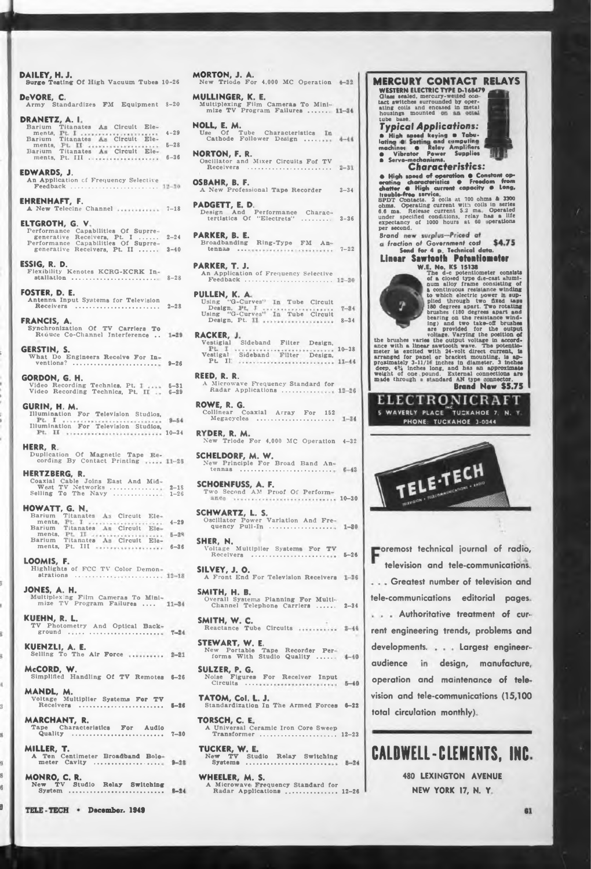**10-26 DAILEY, H. J. Surge Testing Of High Vacuum Tubes 8-20 Army Standardizes FM Equipment DRAN ETZ, A. I Titanates 4-29 Titanates 5-28 6-36 7-18 A New Telecine Channel ELTGROTH, G. V. 8-28 9-26 10-34 Illumination For Television Studios, HOWATT, G. N Titanates 4-29 Titanates December. 1949 vestigal** S<br> **9-26** Pt. II **McCORD, W. Simplified Handling Of TV Remotes KUENZLI, A. E. Selling To The Air Force MANDL, M. Voltage Multiplier Systeme For TV Receivers ............................................... KUEHN, R. L. TV Photometry And Optical Back, ground ................................................ FRANCIS, A. Synchronization Of TV Carriers To Reduce Co-Channel Interference .. JONES, A. H. Multiplexing Film Cameras To Mini-mize TV Program Failures .... 2-18 1-26 GERSTIN, S. What Do Engineers Receive For In-GORDON, G. H. Video Recording Technics, Pt. Video Recording Technics, Pt. 5-31 6-29 EHRENHAFT, F. HERTZBERG, R.**<br>Coaxial Cable Joins East And Mid-<br>West TV Networks .................<br>Selling To The Navy ................ **MILLER, T. A Ten Centimeter Broadband Bolo meter Cavity .................................. HERR, R. Duplication Of Magnetic Tape cording By Contact Printing FOSTER, D. E. Antenna Input Systems for Television Circuit Ele-Circuit Ele Circuit Ele-Circuit Ele-Circuit Ele-Circuit Ele EDWARDS, J. An Application cf Frequency Selective Feedback ................................................. MARCHANT, R. Tape Characteristics For Audio Quality ............................................ . DeVORE, C. Performance generative Performance generative Titanates Pt. Ill . Barium ments, Barium ments. Barium ments, Capabilities Of Suprre-Receivers, PL I .......... Capabilities Of Suprre-Receivers, Pt. II .......... Barium** Titanates<br> **Barium**<br> **ments, Pt. II**<br> **Barium** Titanates<br>
ments, Pt. III<br> **Parium** Titanates<br>
ments, Pt. III **GURIN, H. M. Illumination For Television Studios, ESSIG, R. D. Flexibility Kenotes KCRG-KCRK In stallatlon ........................................... . MONRO, C. R. New TV Studio Relay Switching System ......................................................... LOOMIS, F. Highlights of FCC TV Color Demonstrations . ............ ....................... ...**

ł

ł.

ä

**MORTON, J. A. New Triode For 4,000 MC Operation MULLINGER, K. E. Multiplexing Film Cameras To Mini-mize TV Program Failures ........ NOLL, E. M. Use Of Tube Characteristics Cathode Follower Design ....**  $4 - 44$ **NORTON, F. R. Oscillator and Mixer Circuits Fof TV Receivers Receivers** *Received* **<b>***Received Received Received* **<b>***Received Received Received* **<b>***Ref. 1999* **OSBAHR, B. F. A New Professional Tape Recorder 3-34 PADGETT, E. D. Design And tertistics Of Performance Charac- "Electrets" ......... 3-36 2-24** *Brand* **PARKER, B. E. Broadbanding tennas .... Ring-Type FM An-3-40 7-22 PARKER, T. J. An Application of Frequency Selective Feedback ............................................. PULLEN, K. A, 'G-Curves' 2-28 Using "( Design, Using "<sup>&</sup>lt; Receivers .......................................... Tube Circuit**  $7 - 34$ **'G-Curves' Design, Pt. 8-34 Tube Circuit Sideband Filter Design, RACKER, Vestigial 10-38 Sideband Filter Design,**  $11 - 44$ **REED, R. R. A Microwave Frequency Standard for Radar Applications .............. .. ROWE, R. G. Collinear Coaxial Array For 152 Megacycles ...........................................**  $1 - 34$ **4-32 RYDER, R. M. New Triode For 4,000 MC Operation SCHELDORF, M. W. New Principle For Broad Band An-tennas ................................................ SCHOENFUSS, A. F. Two Second AM Proof Of Perform-10-30 SCHWARTZ, L. S. Oscillator Power Variation And Fre-quency Pull-Tn ............................**  $1 - 30$ **SHER, N. Voltage Multiplier Systems For TV Receivers .................................... here order or the** *seculters seculters seculters b seculters b seculters b seculters b seculters b seculters b seculters b seculters b seculters b seculters b seculters* **SILVEY, J. O. A Front End For Television Receivers SMITH, H. B. 2-34 Overall Systems Planning For Multi-Channel Telephone Carriers .... . SMITH, W. C. Reactance Tube Circuits** STEWART, W. E.<br>New Portable Tape Recorder Per-<br>forms With Studio Quality ...... 4-40 **SULZER, P. G.**

**Noise Figures For Receiver Input**<br>
Circuits ................................

**6-26 6-22 TATOM, Col. L. J. Standardization In The Armed Forces**

**7-30 12-23 TORSCH, C. E A Universal Ceramic Iron Core Sweep Transformer .... ..................................**

**TUCKER, W. E. New TV Studio Relay Switching Systems ........................................**

**WHEELER, M. S. A Microwave Frequency Standard for Radar Applications .........................**

*fraction of* **Government** *cost* **Send for 4 p Technical data. television and tele-communications. Greatest number of television and rent engineering trends, problems and audience design, manufacture.** Noise Figures For Receiver Input operation and maintenance of tele**vision and tele-communications (15,100 has • life ■perations under specified conditions, relay expectancy ot 1000 hours at 60 per second. housings mounted tube base Authoritative treatment of curtele-communications editorial pages.** WESTERN ELECTRIC TYPE D-168479<br>Class scaled, mercury-wested con-<br>tact switches surrounded by oper-<br>ating coils and encased in metal houble-free service.<br>SPDT Contacts. 2 colls at 700 ohms & 3300<br>ohms. Operating current with colls in series<br>6.6 ma. Release current 5.2 ma. Operated *Typical Applications:* **B** High assed keying **a** Tabu-<br>
lating **C** Sering and computing<br>
machines **C** Relay Amplifiers<br> **Characteristics:**<br>
Characteristics: • High speed of operation • Constant op-<br>erating characteristics • Freedom from<br>chatter • High current capacity • Long, **Linear Sawtooth Potentiometer**<br>
W.E. No. KS 15138<br>
The d-c potentiometer consists<br>
of a closed type disc-cent alumin<br>
of a continuous resistance winding<br>
continuous resistance with<br>
continuous resistance with<br>
provided fo **KAHOE 7, PHONE. TUCKAHOE 3-0044**

**MERCURY CONTACT RELAYS**

**CALDWELL-CLEMENTS, INC**

**total circulation monthly).**

**480 LEXINGTON AVENUE 12-26 NEW YORK 17, N. Y**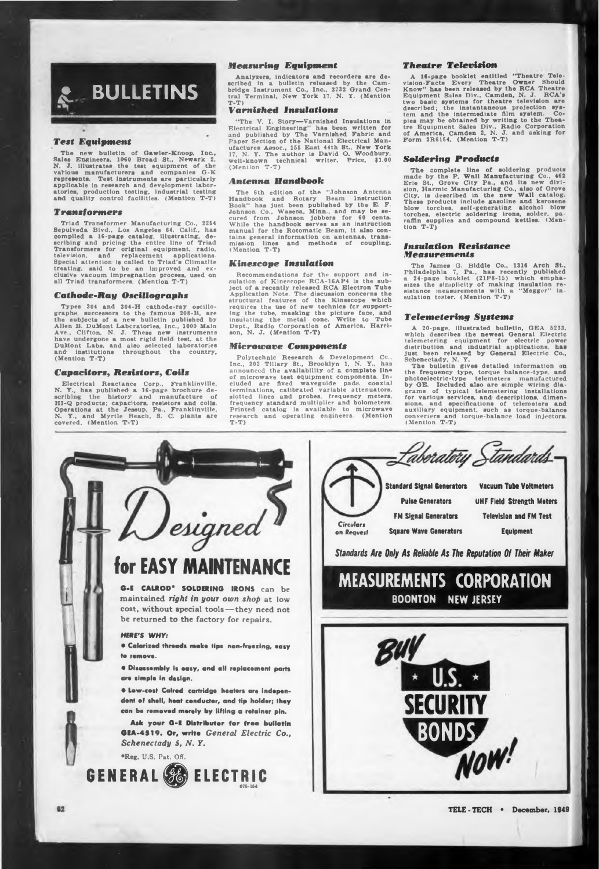

## *Test Equipment*

The new bulletin of Gawler-Knoop, Inc.,<br>Sales Engineers, 1060 Broad St., Newark 2,<br>N. J. illustrates the test equipment of the<br>various manufacturers and companies G-K represents. Test instruments are particularly<br>applicable in research and development labor-<br>atories, production testing, industrial testing<br>and quality control facilities. (Mention T-T)

## *Transformers*

Triad Transformer Manufacturing Co., 2254<br>Sepulveda Bivd., Los Angeles 64. Calif., has<br>compiled a 16-page catalog, illustrating, de-<br>scribing and pricing the entire line of Triad<br>Transformers for original equipment, radio, Special attention is called to Triad's Climatite<br>treating, said to be an improved and ex-<br>clusive vacuum impregnation process, used on<br>all Triad transformers. (Mention T-T)

# **Cathode-Ray** *Oscillographs*

Types 304 and 304-H cathode-ray oscillo-<br>graphs, successors to the famous 208-B, are<br>the subjects of a new bulletin published by<br>Allen B. DuMont Laboratories, Inc., 1000 Main<br>Ave., Clifton, N. J. These new instruments<br>hav **(Mention T-T)**

# **Capacitor«,** *Resistors, Coils*

Electrical Reactance Corp., Franklinville,<br>N. Y., has published a 16-page brochure de-<br>scribing the history and manufacture of<br>HI-Q products; capacitors, resistors and colls.<br>Operations at the Jessup, Pa., Franklinville,<br>N

# *Measuring Equipment*

**Analyzers, indicators and recorders are de**scribed in a bulletin released by the Cam-<br>bridge Instrument Co., Inc., 3732 Grand Cen-<br>tral Terminal, New York 17, N. Y. (Mention **T-T)**

# *Tarnished Insulations*

"The V. I. Story—Varnished Insulations in<br>Electrical Engineering" has been written for<br>and published by The Varnished Fabric and<br>Paper Section of the National Electrical Man-<br>ufactures Assoc., 155 East 44th St., New York<br> **(Mention T-T)**

### *Antenna Handbook*

**The 6th edition of the "Johnson Antenna** Handbook and Rotary Beam Instruction<br>Book" has just been published by the E. F.<br>Johnson Co., Waseca, Minn., and may be se-<br>cured from Johnson jobbers for 60 cents.<br>While the handbook serves as an instruction manual for the Rotomatic Beam, it also contains general information on antennas, transmission lines and methods of coupling.<br>mission lines and methods of coupling.<br>(Mention T-T)

# *Kinescope Insulation*

Recommendations for the support and in-<br>sulation of Kinescope RCA-16AP4 is the sub-<br>ject of a recently released RCA Electron Tube<br>Application Note. The discussion concerns the<br>structural features of the Kinescope which<br>req

### *Microwave Components*

**Polytechnic Research & Development Co.,** Inc., 202 Tillary St., Brooklyn 1, N. Y., has<br>announced the availability of a complete line<br>of microwave test equipment components. Included are fixed waveguide pads, coaxial terminations, calibrated variable attenuators,<br>slotted lines and probes, frequency meters,<br>frequency standard multiplier and bolometers.<br>Printed catalog is available to microwave **research and operating engineers. (Mention T-T)**

### *Theatre Television*

A 16-page booklet entitled "Theatre Tele-<br>vision-Facts Every Theatre Owner Should<br>Know" has been released by the RCA Theatre<br>Equipment Sules Div., Camden, N. J. RCA's<br>two basic systems for theatre television are<br>described;

# *Soldering Products*

The complete line of soldering products<br>made by the P. Wall Manufacturing Co., 462<br>Erie St., Grove City Pa., and its new divi-<br>sion, Harmic Manufacturing Co., also of Grove<br>City, is described in the new Wall catalog. These products include gasoline and kerosene<br>blow torches, self-generating alcohol blow<br>torches, electric soldering irons, solder, pa-<br>raffin supplies and compound kettles. (Men-<br>tion T-T)

## *Insulation Resistance Measurements*

The James G. Biddle Co., 1316 Arch St.,<br>Philadelphia 7, Pa., has recently published<br>a 24-page booklet (21P8-15) which empha-<br>sizes the simplicity of making insulation re-<br>sistance measurements with a "Megger" in**sulation tester. (Mention T-T)**

### *Telemetering Systems*

A 20-page, illustrated bulletin, GEA  $5233$ , which describes the newest General Electric power at the metallical relativistic definition and industrial applications, has just been released by General Electric Co., Schenec

the frequency type, torque balance-type, and<br>photoelectric-type telemeters manufactured<br>by GE. Included also are simple wiring dia-<br>grams of typical telemetering installations<br>for various services, and descriptions, dimen-**(Mention T-T)**



faberatory Standards. **Standard Signal Generators Vacuum Tube Voltmeters Pulse Generators UHF Field Strength Meters FM Signal Generators Television and FM Test** *Circulan* **Square Wave Generators Equipment on** *Request Standards Are Only As Reliable As The Reputation Of Their Maker* **MEASUREMENTS CORPORATION BOONTON NEW JERSEY** SECURITY<sub>s</sub> **NOW!**